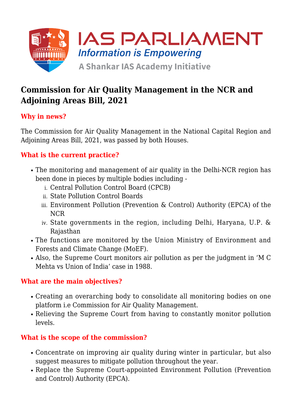

# **Commission for Air Quality Management in the NCR and Adjoining Areas Bill, 2021**

# **Why in news?**

The Commission for Air Quality Management in the National Capital Region and Adjoining Areas Bill, 2021, was passed by both Houses.

## **What is the current practice?**

- The monitoring and management of air quality in the Delhi-NCR region has been done in pieces by multiple bodies including
	- i. Central Pollution Control Board (CPCB)
	- ii. State Pollution Control Boards
	- iii. Environment Pollution (Prevention & Control) Authority (EPCA) of the NCR
	- iv. State governments in the region, including Delhi, Haryana, U.P. & Rajasthan
- The functions are monitored by the Union Ministry of Environment and Forests and Climate Change (MoEF).
- Also, the Supreme Court monitors air pollution as per the judgment in 'M C Mehta vs Union of India' case in 1988.

#### **What are the main objectives?**

- Creating an overarching body to consolidate all monitoring bodies on one platform i.e Commission for Air Quality Management.
- Relieving the Supreme Court from having to constantly monitor pollution levels.

#### **What is the scope of the commission?**

- Concentrate on improving air quality during winter in particular, but also suggest measures to mitigate pollution throughout the year.
- Replace the Supreme Court-appointed Environment Pollution (Prevention and Control) Authority (EPCA).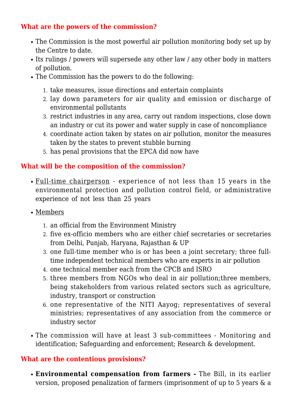### **What are the powers of the commission?**

- The Commission is the most powerful air pollution monitoring body set up by the Centre to date.
- Its rulings / powers will supersede any other law / any other body in matters of pollution.
- The Commission has the powers to do the following:
	- 1. take measures, issue directions and entertain complaints
	- 2. lay down parameters for air quality and emission or discharge of environmental pollutants
	- 3. restrict industries in any area, carry out random inspections, close down an industry or cut its power and water supply in case of noncompliance
	- 4. coordinate action taken by states on air pollution, monitor the measures taken by the states to prevent stubble burning
	- 5. has penal provisions that the EPCA did now have

#### **What will be the composition of the commission?**

- Full-time chairperson experience of not less than 15 years in the environmental protection and pollution control field, or administrative experience of not less than 25 years
- Members
	- 1. an official from the Environment Ministry
	- 2. five ex-officio members who are either chief secretaries or secretaries from Delhi, Punjab, Haryana, Rajasthan & UP
	- 3. one full-time member who is or has been a joint secretary; three fulltime independent technical members who are experts in air pollution
	- 4. one technical member each from the CPCB and ISRO
	- 5. three members from NGOs who deal in air pollution;three members, being stakeholders from various related sectors such as agriculture, industry, transport or construction
	- 6. one representative of the NITI Aayog; representatives of several ministries; representatives of any association from the commerce or industry sector
- The commission will have at least 3 sub-committees Monitoring and identification; Safeguarding and enforcement; Research & development.

#### **What are the contentious provisions?**

**Environmental compensation from farmers -** The Bill, in its earlier version, proposed penalization of farmers (imprisonment of up to 5 years & a